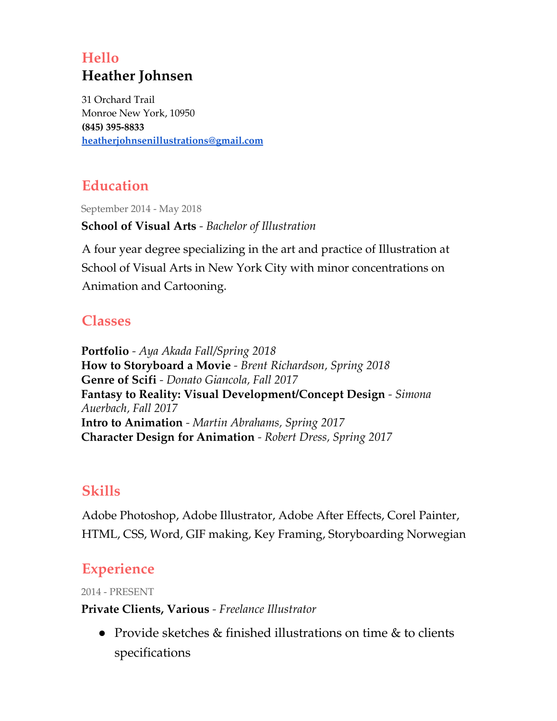## **Hello Heather Johnsen**

31 Orchard Trail Monroe New York, 10950 **(845) 395-8833 [heatherjohnsenillustrations@gmail.com](mailto:heatherj845@gmail.com)**

# **Education**

September 2014 - May 2018

**School of Visual Arts** *- Bachelor of Illustration*

A four year degree specializing in the art and practice of Illustration at School of Visual Arts in New York City with minor concentrations on Animation and Cartooning.

### **Classes**

**Portfolio** *- Aya Akada Fall/Spring 2018* **How to Storyboard a Movie** *- Brent Richardson, Spring 2018* **Genre of Scifi** *- Donato Giancola, Fall 2017* **Fantasy to Reality: Visual Development/Concept Design** *- Simona Auerbach, Fall 2017* **Intro to Animation** *- Martin Abrahams, Spring 2017* **Character Design for Animation** *- Robert Dress, Spring 2017*

### **Skills**

Adobe Photoshop, Adobe Illustrator, Adobe After Effects, Corel Painter, HTML, CSS, Word, GIF making, Key Framing, Storyboarding Norwegian

## **Experience**

2014 - PRESENT

### **Private Clients, Various** *- Freelance Illustrator*

● Provide sketches & finished illustrations on time & to clients specifications